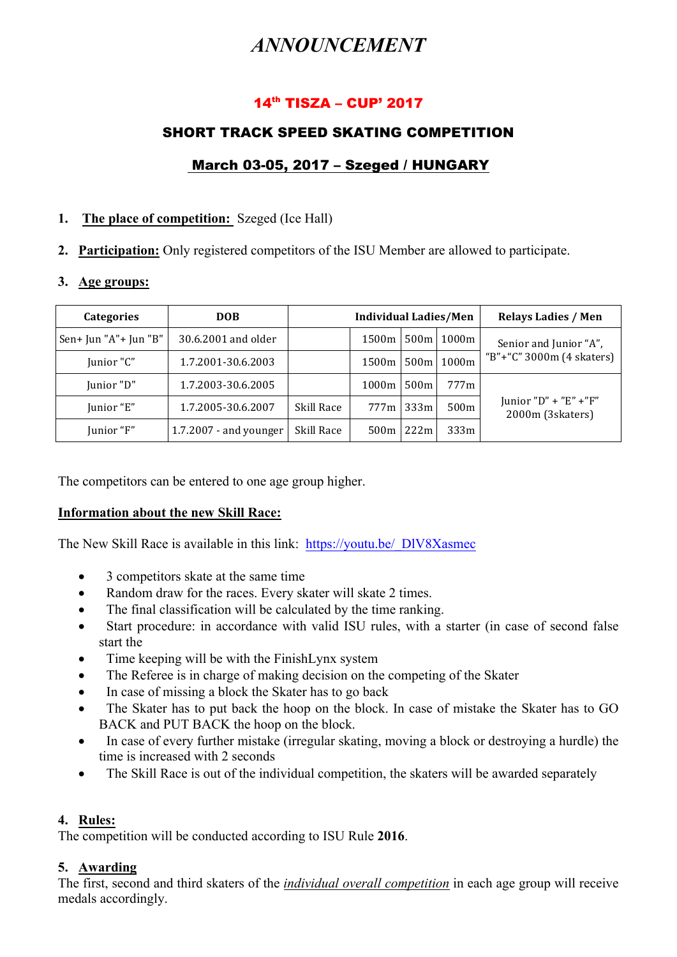# *ANNOUNCEMENT*

# 14th TISZA – CUP' 2017

# SHORT TRACK SPEED SKATING COMPETITION

# March 03-05, 2017 – Szeged / HUNGARY

# **1. The place of competition:** Szeged (Ice Hall)

**2. Participation:** Only registered competitors of the ISU Member are allowed to participate.

## **3. Age groups:**

| <b>Categories</b>     | <b>DOB</b>               | <b>Individual Ladies/Men</b> |                   |                  | <b>Relays Ladies / Men</b> |                                              |
|-----------------------|--------------------------|------------------------------|-------------------|------------------|----------------------------|----------------------------------------------|
| Sen+ Jun "A"+ Jun "B" | 30.6.2001 and older      |                              | 1500 <sub>m</sub> | 500 <sub>m</sub> | 1000m                      | Senior and Junior "A",                       |
| Junior "C"            | 1.7.2001-30.6.2003       |                              | 1500m             | 500 <sub>m</sub> | 1000m                      | "B"+"C" 3000m (4 skaters)                    |
| Junior "D"            | 1.7.2003-30.6.2005       |                              | 1000m             | 500m             | 777m                       |                                              |
| Junior "E"            | 1.7.2005-30.6.2007       | Skill Race                   | 777ml             | 333m             | 500m                       | Junior $"D" + "E" + "F"$<br>2000m (3skaters) |
| Junior "F"            | $1.7.2007$ - and younger | Skill Race                   | 500m              | 222m             | 333m                       |                                              |

The competitors can be entered to one age group higher.

## **Information about the new Skill Race:**

The New Skill Race is available in this link: https://youtu.be/\_DlV8Xasmec

- 3 competitors skate at the same time
- Random draw for the races. Every skater will skate 2 times.
- The final classification will be calculated by the time ranking.
- Start procedure: in accordance with valid ISU rules, with a starter (in case of second false start the
- Time keeping will be with the FinishLynx system
- The Referee is in charge of making decision on the competing of the Skater
- In case of missing a block the Skater has to go back
- The Skater has to put back the hoop on the block. In case of mistake the Skater has to GO BACK and PUT BACK the hoop on the block.
- In case of every further mistake (irregular skating, moving a block or destroying a hurdle) the time is increased with 2 seconds
- The Skill Race is out of the individual competition, the skaters will be awarded separately

## **4. Rules:**

The competition will be conducted according to ISU Rule **2016**.

# **5. Awarding**

The first, second and third skaters of the *individual overall competition* in each age group will receive medals accordingly.